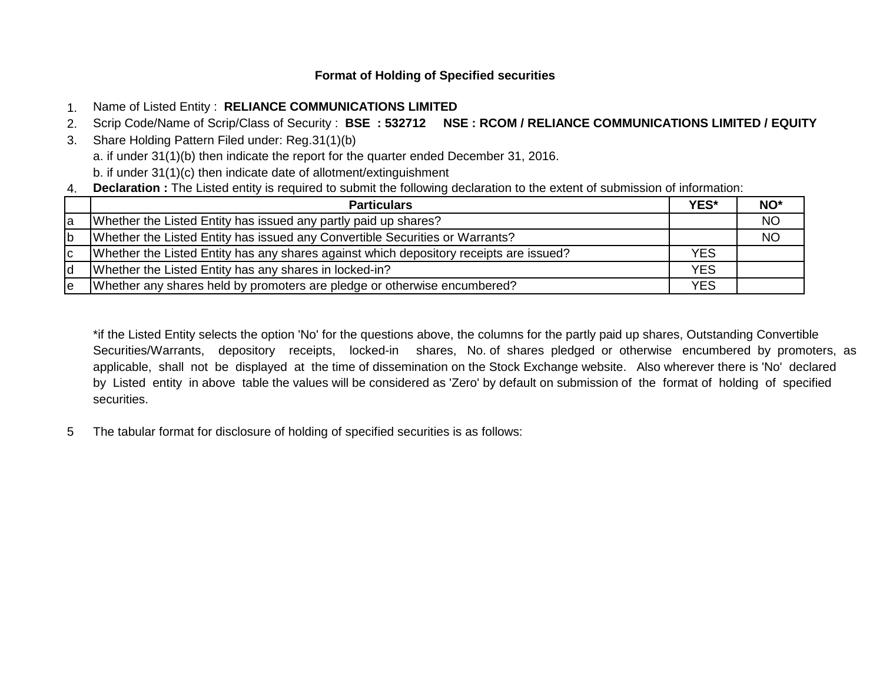# **Format of Holding of Specified securities**

- 1. Name of Listed Entity : **RELIANCE COMMUNICATIONS LIMITED**
- 2. Scrip Code/Name of Scrip/Class of Security : **BSE : 532712 NSE : RCOM / RELIANCE COMMUNICATIONS LIMITED / EQUITY**
- 3. Share Holding Pattern Filed under: Reg.31(1)(b) a. if under 31(1)(b) then indicate the report for the quarter ended December 31, 2016. b. if under 31(1)(c) then indicate date of allotment/extinguishment
- 4. **Declaration :** The Listed entity is required to submit the following declaration to the extent of submission of information:

|    | <b>Particulars</b>                                                                     | YES*       | NO <sup>*</sup> |
|----|----------------------------------------------------------------------------------------|------------|-----------------|
| la | Whether the Listed Entity has issued any partly paid up shares?                        |            | <b>NO</b>       |
| lb | Whether the Listed Entity has issued any Convertible Securities or Warrants?           |            | <b>NO</b>       |
| Iс | Whether the Listed Entity has any shares against which depository receipts are issued? | <b>YES</b> |                 |
| ld | Whether the Listed Entity has any shares in locked-in?                                 | <b>YES</b> |                 |
| le | Whether any shares held by promoters are pledge or otherwise encumbered?               | <b>YES</b> |                 |

\*if the Listed Entity selects the option 'No' for the questions above, the columns for the partly paid up shares, Outstanding Convertible Securities/Warrants, depository receipts, locked-in shares, No. of shares pledged or otherwise encumbered by promoters, as applicable, shall not be displayed at the time of dissemination on the Stock Exchange website. Also wherever there is 'No' declared by Listed entity in above table the values will be considered as 'Zero' by default on submission of the format of holding of specified securities.

5 The tabular format for disclosure of holding of specified securities is as follows: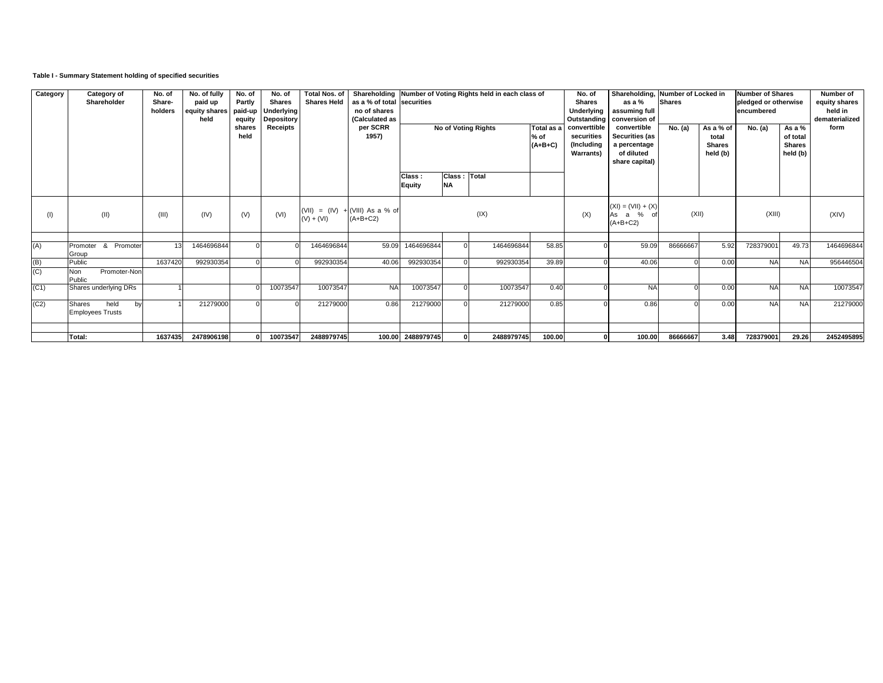## **Table I - Summary Statement holding of specified securities**

| Category | Category of<br>Shareholder                             | No. of<br>Share-<br>holders | No. of fully<br>paid up<br>equity shares<br>held | No. of<br>Partly<br>paid-up<br>equity<br>shares | No. of<br><b>Shares</b><br>Underlying<br><b>Depository</b><br>Receipts | <b>Total Nos. of</b><br><b>Shares Held</b> | as a % of total securities<br>no of shares<br>(Calculated as<br>per SCRR |                         |                           | Shareholding Number of Voting Rights held in each class of<br><b>No of Voting Rights</b> | Total as a | No. of<br><b>Shares</b><br>Underlying<br>Outstanding<br>converttible<br>securities | as a %<br>assuming full<br>conversion of<br>convertible | Shareholding, Number of Locked in<br><b>Shares</b><br>No. (a)<br>As a % of |      | <b>Number of Shares</b><br>pledged or otherwise<br>encumbered<br>As a $%$<br>No. (a) |           | Number of<br>equity shares<br>held in<br>dematerialized<br>form |
|----------|--------------------------------------------------------|-----------------------------|--------------------------------------------------|-------------------------------------------------|------------------------------------------------------------------------|--------------------------------------------|--------------------------------------------------------------------------|-------------------------|---------------------------|------------------------------------------------------------------------------------------|------------|------------------------------------------------------------------------------------|---------------------------------------------------------|----------------------------------------------------------------------------|------|--------------------------------------------------------------------------------------|-----------|-----------------------------------------------------------------|
|          |                                                        |                             |                                                  | held                                            |                                                                        |                                            | 1957)                                                                    |                         |                           | $%$ of<br>$(A+B+C)$                                                                      |            | Securities (as<br>a percentage<br>of diluted<br>share capital)                     |                                                         | total<br><b>Shares</b><br>held (b)                                         |      | of total<br><b>Shares</b><br>held (b)                                                |           |                                                                 |
|          |                                                        |                             |                                                  |                                                 |                                                                        |                                            |                                                                          | Class:<br><b>Equity</b> | Class: Total<br><b>NA</b> |                                                                                          |            |                                                                                    |                                                         |                                                                            |      |                                                                                      |           |                                                                 |
| (1)      | (11)                                                   | (III)                       | (IV)                                             | (V)                                             | (VI)                                                                   | $(V) + (VI)$                               | (VII) = $(IV) + (VIII)$ As a % of<br>$(A+B+C2)$                          |                         |                           | (IX)                                                                                     |            | (X)                                                                                | $(XI) = (VII) + (X)$<br>As a %<br>$(A+B+C2)$            | (XII)                                                                      |      | (XIII)                                                                               |           | (XIV)                                                           |
| (A)      | Promoter & Promoter<br>Group                           | 13                          | 1464696844                                       |                                                 |                                                                        | 1464696844                                 | 59.09                                                                    | 1464696844              |                           | 1464696844                                                                               | 58.85      |                                                                                    | 59.09                                                   | 86666667                                                                   | 5.92 | 72837900                                                                             | 49.73     | 1464696844                                                      |
| (B)      | Public                                                 | 1637420                     | 992930354                                        |                                                 |                                                                        | 992930354                                  | 40.06                                                                    | 992930354               |                           | 992930354                                                                                | 39.89      |                                                                                    | 40.06                                                   |                                                                            | 0.00 | <b>NA</b>                                                                            | <b>NA</b> | 956446504                                                       |
| (C)      | <b>Non</b><br>Promoter-Non<br>Public                   |                             |                                                  |                                                 |                                                                        |                                            |                                                                          |                         |                           |                                                                                          |            |                                                                                    |                                                         |                                                                            |      |                                                                                      |           |                                                                 |
| (C1)     | Shares underlying DRs                                  |                             |                                                  |                                                 | 10073547                                                               | 10073547                                   | <b>NA</b>                                                                | 10073547                |                           | 10073547                                                                                 | 0.40       |                                                                                    | <b>NA</b>                                               |                                                                            | 0.00 | <b>NA</b>                                                                            | <b>NA</b> | 10073547                                                        |
| (C2)     | held<br><b>Shares</b><br>by<br><b>Employees Trusts</b> |                             | 21279000                                         |                                                 |                                                                        | 21279000                                   | 0.86                                                                     | 21279000                |                           | 21279000                                                                                 | 0.85       |                                                                                    | 0.86                                                    |                                                                            | 0.00 | <b>NA</b>                                                                            | <b>NA</b> | 21279000                                                        |
|          | Total:                                                 | 1637435                     | 2478906198                                       |                                                 | 10073547                                                               | 2488979745                                 |                                                                          | 100.00 2488979745       |                           | 2488979745                                                                               | 100.00     |                                                                                    | 100.00                                                  | 86666667                                                                   | 3.48 | 728379001                                                                            | 29.26     | 2452495895                                                      |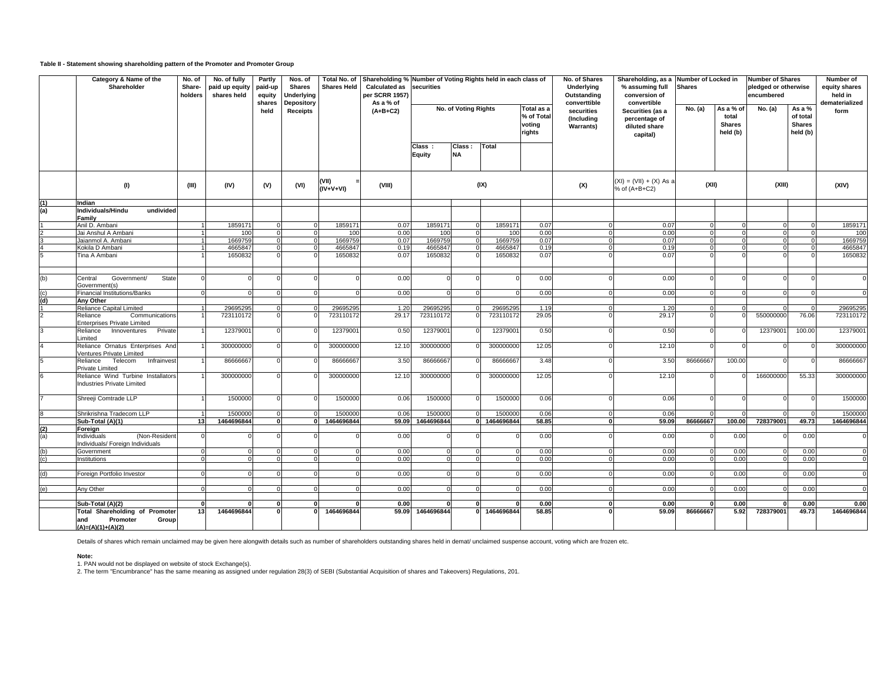## **Table II - Statement showing shareholding pattern of the Promoter and Promoter Group**

|                   | Category & Name of the<br>Shareholder                                                    | No. of<br>Share-<br>holders | No. of fully<br>paid up equity<br>shares held | Partly<br>paid-up<br>equity<br>shares | Nos. of<br><b>Shares</b><br>Underlying<br>Depository | Total No. of<br><b>Shares Held</b> | Shareholding % Number of Voting Rights held in each class of<br><b>Calculated as</b><br>per SCRR 1957)<br>As a % of | securities                                                |                      |                        |                                              | No. of Shares<br>Underlying<br>Outstanding<br>converttible | % assuming full<br>conversion of<br>convertible                | Shareholding, as a Number of Locked in<br><b>Shares</b> |                                                 | <b>Number of Shares</b><br>pledged or otherwise<br>encumbered |                                                 | Number of<br>equity shares<br>held in<br>dematerialized |
|-------------------|------------------------------------------------------------------------------------------|-----------------------------|-----------------------------------------------|---------------------------------------|------------------------------------------------------|------------------------------------|---------------------------------------------------------------------------------------------------------------------|-----------------------------------------------------------|----------------------|------------------------|----------------------------------------------|------------------------------------------------------------|----------------------------------------------------------------|---------------------------------------------------------|-------------------------------------------------|---------------------------------------------------------------|-------------------------------------------------|---------------------------------------------------------|
|                   |                                                                                          |                             |                                               | held                                  | <b>Receipts</b>                                      |                                    | $(A+B+C2)$                                                                                                          |                                                           | No. of Voting Rights |                        | Total as a<br>% of Total<br>voting<br>rights | securities<br>(Including<br><b>Warrants)</b>               | Securities (as a<br>percentage of<br>diluted share<br>capital) | No. (a)                                                 | As a % of<br>total<br><b>Shares</b><br>held (b) | No. (a)                                                       | As a %<br>of total<br><b>Shares</b><br>held (b) | form                                                    |
|                   |                                                                                          |                             |                                               |                                       |                                                      |                                    |                                                                                                                     | Class :<br>Equity                                         | Class:<br><b>NA</b>  | Total                  |                                              |                                                            |                                                                |                                                         |                                                 |                                                               |                                                 |                                                         |
|                   | (1)                                                                                      | (III)                       | (IV)                                          | (V)                                   | (VI)                                                 | (VII)<br>$(IV+V+VI)$               | (VIII)                                                                                                              | $(XI) = (VII) + (X) As a$<br>(IX)<br>(X)<br>% of (A+B+C2) |                      | (XII)                  |                                              | (XIII)                                                     |                                                                | (XIV)                                                   |                                                 |                                                               |                                                 |                                                         |
| $\frac{(1)}{(a)}$ | Indian                                                                                   |                             |                                               |                                       |                                                      |                                    |                                                                                                                     |                                                           |                      |                        |                                              |                                                            |                                                                |                                                         |                                                 |                                                               |                                                 |                                                         |
|                   | Individuals/Hindu<br>undivided                                                           |                             |                                               |                                       |                                                      |                                    |                                                                                                                     |                                                           |                      |                        |                                              |                                                            |                                                                |                                                         |                                                 |                                                               |                                                 |                                                         |
|                   | Family                                                                                   |                             |                                               |                                       |                                                      |                                    |                                                                                                                     |                                                           |                      |                        |                                              |                                                            |                                                                |                                                         |                                                 |                                                               |                                                 |                                                         |
|                   | Anil D. Ambani                                                                           |                             | 1859171                                       | $\mathbf 0$                           |                                                      | 1859171                            | 0.07                                                                                                                | 1859171                                                   |                      | 1859171                | 0.07                                         |                                                            | 0.07                                                           |                                                         |                                                 |                                                               | $\Omega$                                        | 1859171                                                 |
|                   | Jai Anshul A Ambani                                                                      |                             | 100                                           | $\mathbf 0$                           | $\Omega$                                             | 100                                | 0.00                                                                                                                | 100                                                       |                      | 100                    | 0.00                                         |                                                            | 0.00                                                           |                                                         | $\Omega$                                        |                                                               | $\Omega$                                        | 100                                                     |
|                   | Jaianmol A. Ambani                                                                       |                             | 1669759                                       | $\Omega$                              |                                                      | 1669759                            | 0.07                                                                                                                | 1669759                                                   |                      | 1669759                | 0.07                                         |                                                            | 0.07                                                           |                                                         |                                                 |                                                               |                                                 | 1669759                                                 |
|                   | Kokila D Ambani                                                                          |                             | 466584                                        |                                       |                                                      | 4665847                            | 0.19                                                                                                                | 4665847                                                   |                      | 4665847                | 0.19                                         |                                                            | 0.19                                                           |                                                         | $\Omega$                                        |                                                               |                                                 | 4665847                                                 |
| 5                 | Tina A Ambani                                                                            |                             | 1650832                                       |                                       |                                                      | 1650832                            | 0.07                                                                                                                | 1650832                                                   |                      | 1650832                | 0.07                                         |                                                            | 0.07                                                           |                                                         |                                                 |                                                               |                                                 | 1650832                                                 |
| (b)               | State<br>Government/<br>Central<br>Government(s)                                         |                             |                                               |                                       |                                                      |                                    | 0.00                                                                                                                |                                                           |                      |                        | 0.00                                         |                                                            | 0.00                                                           |                                                         |                                                 |                                                               |                                                 | $\mathbf 0$                                             |
| (c)               | Financial Institutions/Banks                                                             |                             |                                               |                                       |                                                      |                                    | 0.00                                                                                                                |                                                           |                      |                        | 0.00                                         |                                                            | 0.00                                                           |                                                         |                                                 |                                                               |                                                 | $\Omega$                                                |
| (d)               | Any Other                                                                                |                             |                                               |                                       |                                                      |                                    |                                                                                                                     |                                                           |                      |                        |                                              |                                                            |                                                                |                                                         |                                                 |                                                               |                                                 |                                                         |
|                   | Reliance Capital Limited                                                                 |                             | 29695295                                      |                                       |                                                      | 29695295                           | 1.20                                                                                                                | 29695295                                                  |                      | 29695295               | 1.19                                         |                                                            | 1.20                                                           |                                                         |                                                 |                                                               |                                                 | 29695295                                                |
| $\overline{2}$    | Communications<br>Reliance<br><b>Enterprises Private Limited</b>                         |                             | 723110172                                     |                                       |                                                      | 723110172                          | 29.17                                                                                                               | 723110172                                                 |                      | 723110172              | 29.05                                        |                                                            | 29.17                                                          |                                                         |                                                 | 55000000                                                      | 76.06                                           | 723110172                                               |
| 3                 | Private<br>Innoventures<br>Reliance<br>imited                                            |                             | 1237900                                       |                                       |                                                      | 12379001                           | 0.50                                                                                                                | 12379001                                                  |                      | 12379001               | 0.50                                         |                                                            | 0.50                                                           |                                                         |                                                 | 1237900                                                       | 100.00                                          | 12379001                                                |
| $\overline{4}$    | Reliance Ornatus Enterprises And<br>Ventures Private Limited                             |                             | 300000000                                     | $\Omega$                              |                                                      | 300000000                          | 12.10                                                                                                               | 300000000                                                 |                      | 300000000              | 12.05                                        |                                                            | 12.10                                                          |                                                         |                                                 |                                                               |                                                 | 300000000                                               |
| 5<br>6            | Telecom<br>Infrainvest<br>Reliance<br><b>Private Limited</b>                             |                             | 86666667                                      |                                       |                                                      | 86666667                           | 3.50                                                                                                                | 86666667                                                  |                      | 86666667               | 3.48                                         |                                                            | 3.50                                                           | 86666667                                                | 100.00                                          |                                                               |                                                 | 86666667                                                |
|                   | Reliance Wind Turbine Installators<br>Industries Private Limited                         |                             | 300000000                                     |                                       |                                                      | 300000000                          | 12.10                                                                                                               | 300000000                                                 |                      | 300000000              | 12.05                                        |                                                            | 12.10                                                          |                                                         |                                                 | 16600000                                                      | 55.33                                           | 300000000                                               |
|                   | Shreeji Comtrade LLP                                                                     |                             | 1500000                                       | $\Omega$                              |                                                      | 1500000                            | 0.06                                                                                                                | 1500000                                                   |                      | 1500000                | 0.06                                         |                                                            | 0.06                                                           |                                                         |                                                 |                                                               |                                                 | 1500000                                                 |
|                   | Shrikrishna Tradecom LLP                                                                 |                             | 1500000                                       | $\Omega$                              |                                                      | 1500000                            | 0.06                                                                                                                | 1500000                                                   |                      | 1500000                | 0.06                                         | $\Omega$                                                   | 0.06                                                           |                                                         |                                                 |                                                               |                                                 | 1500000                                                 |
|                   | Sub-Total (A)(1)                                                                         | 13                          | 1464696844                                    | $\Omega$                              |                                                      | 1464696844                         | 59.09                                                                                                               | 1464696844                                                |                      | 1464696844<br>$\Omega$ | 58.85                                        |                                                            | 59.09<br>$\Omega$                                              | 86666667                                                | 100.00                                          | 728379001                                                     | 49.73                                           | 1464696844                                              |
| $\frac{2}{(a)}$   | Foreign<br>(Non-Resident<br>ndividuals                                                   |                             |                                               |                                       |                                                      |                                    | 0.00                                                                                                                |                                                           |                      |                        | 0.00                                         |                                                            | 0.00                                                           |                                                         | 0.00                                            |                                                               | 0.00                                            | $\Omega$                                                |
| (b)               | ndividuals/ Foreign Individuals<br>Government                                            |                             |                                               |                                       |                                                      |                                    | 0.00                                                                                                                |                                                           | $\Omega$             |                        | 0.00                                         |                                                            | 0.00                                                           |                                                         | 0.00                                            |                                                               | 0.00                                            | $\Omega$                                                |
| (c)               | nstitutions                                                                              |                             | $\Omega$                                      |                                       |                                                      |                                    | 0.00                                                                                                                |                                                           | $\Omega$             |                        | 0.00                                         |                                                            | 0.00                                                           |                                                         | 0.00                                            |                                                               | 0.00                                            | $\Omega$                                                |
|                   | Foreign Portfolio Investor                                                               |                             |                                               |                                       |                                                      |                                    | 0.00                                                                                                                |                                                           |                      |                        | 0.00                                         |                                                            | 0.00                                                           |                                                         | 0.00                                            |                                                               | 0.00                                            |                                                         |
|                   |                                                                                          |                             |                                               |                                       |                                                      |                                    |                                                                                                                     |                                                           |                      |                        |                                              |                                                            |                                                                |                                                         |                                                 |                                                               |                                                 |                                                         |
| (e)               | Any Other                                                                                |                             |                                               |                                       |                                                      |                                    | 0.00                                                                                                                |                                                           |                      |                        | 0.00                                         |                                                            | 0.00                                                           |                                                         | 0.00                                            |                                                               | 0.00                                            | $\Omega$                                                |
|                   |                                                                                          |                             |                                               |                                       |                                                      |                                    |                                                                                                                     |                                                           |                      |                        |                                              |                                                            |                                                                |                                                         |                                                 |                                                               |                                                 |                                                         |
|                   | Sub-Total (A)(2)                                                                         |                             | $\Omega$                                      | O                                     |                                                      |                                    | 0.00                                                                                                                |                                                           |                      |                        | 0.00                                         |                                                            | 0.00                                                           |                                                         | 0.00                                            |                                                               | 0.00                                            | 0.00                                                    |
|                   | <b>Total Shareholding of Promoter</b><br>Promoter<br>Group<br>and<br>$(A)=(A)(1)+(A)(2)$ | 13                          | 1464696844                                    |                                       |                                                      | 1464696844                         |                                                                                                                     | 59.09 1464696844                                          |                      | 1464696844<br>$\Omega$ | 58.85                                        |                                                            | 59.09                                                          | 86666667                                                | 5.92                                            | 728379001                                                     | 49.73                                           | 1464696844                                              |

Details of shares which remain unclaimed may be given here alongwith details such as number of shareholders outstanding shares held in demat/ unclaimed suspense account, voting which are frozen etc.

#### **Note:**

1. PAN would not be displayed on website of stock Exchange(s).<br>2. The term "Encumbrance" has the same meaning as assigned under regulation 28(3) of SEBI (Substantial Acquisition of shares and Takeovers) Regulations, 201.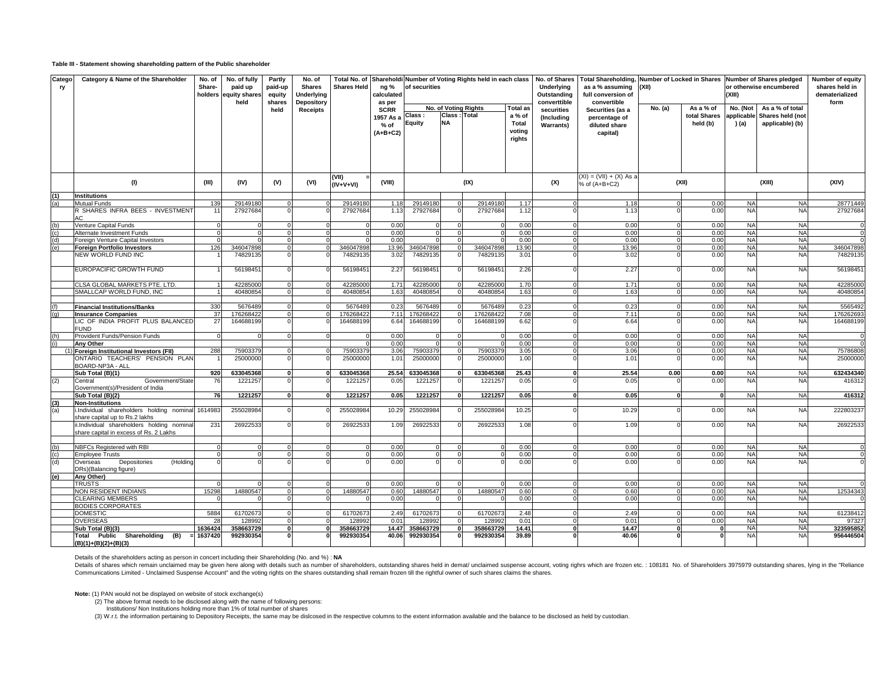### **Table III - Statement showing shareholding pattern of the Public shareholder**

| Catego<br>ry                                                          | Category & Name of the Shareholder                                                                     | No. of<br>No. of fully<br>Partly<br>No. of<br>Total No. of Shareholdi Number of Voting Rights held in each class<br>paid up<br>paid-up<br><b>Shares Held</b><br>Share-<br><b>Shares</b><br>holders<br>equity shares<br><b>Underlying</b><br>equity |                      |                |                               | ng %<br>calculated    | of securities                   |                       |                                               |                       | No. of Shares<br>Underlying<br>Outstanding | Total Shareholding, Number of Locked in Shares Number of Shares pledged<br>as a % assuming<br>full conversion of | (XII)                                      |                         | (XIII)       | or otherwise encumbered                                                                 | Number of equity<br>shares held in<br>dematerialized |                       |
|-----------------------------------------------------------------------|--------------------------------------------------------------------------------------------------------|----------------------------------------------------------------------------------------------------------------------------------------------------------------------------------------------------------------------------------------------------|----------------------|----------------|-------------------------------|-----------------------|---------------------------------|-----------------------|-----------------------------------------------|-----------------------|--------------------------------------------|------------------------------------------------------------------------------------------------------------------|--------------------------------------------|-------------------------|--------------|-----------------------------------------------------------------------------------------|------------------------------------------------------|-----------------------|
|                                                                       |                                                                                                        |                                                                                                                                                                                                                                                    | held                 | shares<br>held | Depository<br><b>Receipts</b> |                       | as per<br><b>SCRR</b>           | Class:                | No. of Voting Rights<br>Class<br><b>Total</b> |                       | <b>Total as</b><br>a % of                  | converttible<br>securities                                                                                       | convertible<br>Securities (as a            | No. (a)                 |              | As a % of<br>No. (Not<br>As a % of total<br>total Shares<br>applicable Shares held (not |                                                      | form                  |
|                                                                       |                                                                                                        |                                                                                                                                                                                                                                                    |                      |                |                               |                       | 1957 As a<br>% of<br>$(A+B+C2)$ | Equity                | <b>NA</b>                                     |                       | Total<br>voting                            | (Including<br><b>Warrants)</b>                                                                                   | percentage of<br>diluted share<br>capital) |                         | held (b)     | ) (a)                                                                                   | applicable) (b)                                      |                       |
|                                                                       |                                                                                                        |                                                                                                                                                                                                                                                    |                      |                |                               |                       |                                 |                       |                                               |                       | rights                                     |                                                                                                                  |                                            |                         |              |                                                                                         |                                                      |                       |
|                                                                       |                                                                                                        |                                                                                                                                                                                                                                                    |                      |                |                               |                       |                                 |                       |                                               |                       |                                            |                                                                                                                  |                                            |                         |              |                                                                                         |                                                      |                       |
|                                                                       | (1)                                                                                                    | (III)                                                                                                                                                                                                                                              | (IV)                 | (V)            | (VI)                          | (VII)<br>(IV+V+VI)    | (VIII)                          |                       |                                               | (IX)                  |                                            | $(XI) = (VII) + (X) As a$<br>(X)<br>% of (A+B+C2)                                                                |                                            | (XII)                   |              | (XIII)                                                                                  |                                                      | (XIV)                 |
| (1)                                                                   | <b>Institutions</b>                                                                                    |                                                                                                                                                                                                                                                    |                      |                |                               |                       |                                 |                       |                                               |                       |                                            |                                                                                                                  |                                            |                         |              |                                                                                         |                                                      |                       |
|                                                                       | <b>Mutual Funds</b>                                                                                    | 139                                                                                                                                                                                                                                                | 29149180             |                |                               | 29149180              | 1.18                            | 29149180              |                                               | 29149180              | 1.17                                       |                                                                                                                  | 1.18                                       |                         | 0.00         | <b>NA</b>                                                                               | <b>NA</b>                                            | 28771449              |
|                                                                       | R SHARES INFRA BEES - INVESTMENT<br>AC.                                                                | 11                                                                                                                                                                                                                                                 | 27927684             |                |                               | 27927684              | 1.13                            | 27927684              |                                               | 27927684              | 1.12                                       |                                                                                                                  | 1.13                                       |                         | 0.00         | <b>NA</b>                                                                               | <b>NA</b>                                            | 27927684              |
|                                                                       | Venture Capital Funds                                                                                  |                                                                                                                                                                                                                                                    |                      |                |                               |                       | 0.00                            |                       | $\Omega$                                      |                       | 0.00                                       |                                                                                                                  | 0.00                                       |                         | 0.00         | <b>NA</b>                                                                               | <b>NA</b>                                            |                       |
| $\begin{array}{c} \text{(b)} \\ \text{(c)} \\ \text{(d)} \end{array}$ | Alternate Investment Funds                                                                             |                                                                                                                                                                                                                                                    | $\Omega$             |                |                               | $\Omega$              | 0.00                            | $\Omega$              | $\Omega$                                      |                       | 0.00                                       | $\Omega$                                                                                                         | 0.00                                       | $\Omega$                | 0.00         | <b>NA</b>                                                                               | <b>NA</b>                                            | $\Omega$              |
|                                                                       | Foreign Venture Capital Investors                                                                      |                                                                                                                                                                                                                                                    |                      |                |                               |                       | 0.00                            |                       |                                               |                       | 0.00                                       | $\overline{0}$                                                                                                   | 0.00                                       |                         | 0.00         | <b>NA</b>                                                                               | <b>NA</b>                                            |                       |
| (e)                                                                   | <b>Foreign Portfolio Investors</b><br><b>NEW WORLD FUND INC</b>                                        | 126                                                                                                                                                                                                                                                | 346047898<br>7482913 |                |                               | 346047898<br>74829135 | 13.96<br>3.02                   | 346047898<br>74829135 |                                               | 346047898<br>74829135 | 13.90<br>3.01                              | $\Omega$                                                                                                         | 13.96<br>3.02                              |                         | 0.00<br>0.00 | <b>NA</b><br><b>NA</b>                                                                  | <b>NA</b><br><b>NA</b>                               | 346047898<br>74829135 |
|                                                                       | EUROPACIFIC GROWTH FUND                                                                                |                                                                                                                                                                                                                                                    | 5619845              |                |                               | 5619845               | 2.27                            | 56198451              |                                               | 56198451              | 2.26                                       |                                                                                                                  | 2.27                                       |                         | 0.00         | <b>NA</b>                                                                               | <b>NA</b>                                            | 5619845               |
|                                                                       | CLSA GLOBAL MARKETS PTE. LTD.                                                                          |                                                                                                                                                                                                                                                    | 42285000             |                |                               | 4228500               | 1.71                            | 42285000              |                                               | 42285000              | 1.70                                       |                                                                                                                  | 1.71                                       |                         | 0.00         | <b>NA</b>                                                                               | <b>NA</b>                                            | 42285000              |
|                                                                       | SMALLCAP WORLD FUND, INC                                                                               |                                                                                                                                                                                                                                                    | 40480854             |                |                               | 40480854              | 1.63                            | 40480854              |                                               | 40480854              | 1.63                                       | $\Omega$                                                                                                         | 1.63                                       |                         | 0.00         | <b>NA</b>                                                                               | <b>NA</b>                                            | 40480854              |
|                                                                       |                                                                                                        |                                                                                                                                                                                                                                                    |                      |                |                               |                       |                                 |                       |                                               |                       |                                            |                                                                                                                  |                                            |                         |              |                                                                                         |                                                      |                       |
| (f)                                                                   | <b>Financial Institutions/Banks</b>                                                                    | 330                                                                                                                                                                                                                                                | 567648               |                |                               | 567648                | 0.2                             | 5676489               |                                               | 567648                | 0.23                                       |                                                                                                                  | 0.23                                       |                         | 0.00         | <b>NA</b>                                                                               | <b>NA</b>                                            | 5565492               |
| (g)                                                                   | <b>Insurance Companies</b>                                                                             | 37                                                                                                                                                                                                                                                 | 17626842             |                |                               | 17626842              | 7.1'                            | 176268422             |                                               | 176268422             | 7.08                                       | $\Omega$                                                                                                         | 7.11                                       |                         | 0.00         | <b>NA</b>                                                                               | <b>NA</b>                                            | 176262693             |
|                                                                       | LIC OF INDIA PROFIT PLUS BALANCED<br><b>FUND</b>                                                       | 27                                                                                                                                                                                                                                                 | 164688199            |                |                               | 164688199             | 6.64                            | 164688199             |                                               | 164688199             | 6.62                                       |                                                                                                                  | 6.64                                       |                         | 0.00         | <b>NA</b>                                                                               | <b>NA</b>                                            | 164688199             |
| (h)<br>(i)                                                            | Provident Funds/Pension Funds                                                                          |                                                                                                                                                                                                                                                    |                      |                |                               |                       | 0.00                            |                       |                                               |                       | 0.00                                       |                                                                                                                  | 0.00                                       |                         | 0.00         | <b>NA</b>                                                                               | <b>NA</b>                                            |                       |
|                                                                       | Anv Other                                                                                              |                                                                                                                                                                                                                                                    |                      |                |                               | $\Omega$              | 0.00                            | $\Omega$              | $\Omega$                                      |                       | 0.00                                       | $\Omega$                                                                                                         | 0.00                                       | $\Omega$                | 0.00         | <b>NA</b>                                                                               | <b>NA</b>                                            |                       |
|                                                                       | Foreign Institutional Investors (FII)                                                                  | 288                                                                                                                                                                                                                                                | 75903379             |                |                               | 75903379              | 3.06                            | 75903379              |                                               | 7590337               | 3.05                                       | $\overline{0}$                                                                                                   | 3.06                                       |                         | 0.00         | <b>NA</b>                                                                               | <b>NA</b>                                            | 75786808              |
|                                                                       | ONTARIO TEACHERS' PENSION PLAN<br>BOARD-NP3A - ALL                                                     |                                                                                                                                                                                                                                                    | 25000000             |                |                               | 25000000              | $1.0^{\circ}$                   | 25000000              |                                               | 25000000              | 1.00                                       |                                                                                                                  | 1.01                                       |                         | 0.00         | <b>NA</b>                                                                               | <b>NA</b>                                            | 25000000              |
|                                                                       | Sub Total (B)(1)                                                                                       | 920                                                                                                                                                                                                                                                | 633045368            |                |                               | 63304536              | 25.54                           | 633045368             |                                               | 633045368             | 25.43                                      |                                                                                                                  | 25.54                                      | 0.00                    | 0.00         | <b>NA</b>                                                                               | <b>NA</b>                                            | 632434340             |
| (2)                                                                   | Government/State<br>Central<br>Government(s)/President of India                                        | 76                                                                                                                                                                                                                                                 | 1221257              |                |                               | 122125                | 0.05                            | 1221257               |                                               | 1221257               | 0.05                                       |                                                                                                                  | 0.05                                       |                         | 0.00         | <b>NA</b>                                                                               | <b>NA</b>                                            | 416312                |
|                                                                       | Sub Total (B)(2)                                                                                       | 76                                                                                                                                                                                                                                                 | 1221257              |                |                               | 1221257               | 0.05                            | 1221257               |                                               | 1221257               | 0.05                                       |                                                                                                                  | 0.05                                       |                         | $\mathbf{0}$ | <b>NA</b>                                                                               | <b>NA</b>                                            | 416312                |
| $\frac{(3)}{(a)}$                                                     | <b>Non-Institutions</b><br>i.Individual shareholders holding nominal<br>share capital up to Rs.2 lakhs | 1614983                                                                                                                                                                                                                                            | 255028984            |                |                               | 255028984             | 10.29                           | 255028984             |                                               | 255028984             | 10.25                                      |                                                                                                                  | 10.29                                      |                         | 0.00         | <b>NA</b>                                                                               | <b>NA</b>                                            | 222803237             |
|                                                                       | ii.Individual shareholders holding nomina<br>share capital in excess of Rs. 2 Lakhs                    | 231                                                                                                                                                                                                                                                | 26922533             |                |                               | 2692253               | 1.09                            | 26922533              |                                               | 26922533              | 1.08                                       |                                                                                                                  | 1.09                                       |                         | 0.00         | <b>NA</b>                                                                               | <b>NA</b>                                            | 26922533              |
|                                                                       |                                                                                                        |                                                                                                                                                                                                                                                    |                      |                |                               |                       |                                 |                       |                                               |                       |                                            |                                                                                                                  |                                            |                         |              |                                                                                         |                                                      |                       |
|                                                                       | NBFCs Registered with RBI                                                                              |                                                                                                                                                                                                                                                    |                      |                |                               |                       | 0.00                            |                       |                                               |                       | 0.00                                       |                                                                                                                  | 0.00                                       |                         | 0.00         | <b>NA</b>                                                                               | <b>NA</b>                                            |                       |
|                                                                       | <b>Employee Trusts</b>                                                                                 |                                                                                                                                                                                                                                                    | $\Omega$             |                |                               |                       | 0.00                            | $\Omega$              | $\Omega$                                      |                       | 0.00                                       | $\Omega$                                                                                                         | 0.00                                       |                         | 0.00         | <b>NA</b>                                                                               | <b>NA</b>                                            |                       |
| $\begin{array}{c} \text{(b)} \\ \text{(c)} \\ \text{(d)} \end{array}$ | Overseas<br>Depositories<br>(Holding<br>DRs)(Balancing figure)                                         |                                                                                                                                                                                                                                                    |                      |                |                               |                       | 0.00                            |                       |                                               |                       | 0.00                                       |                                                                                                                  | 0.00                                       |                         | 0.00         | <b>NA</b>                                                                               | <b>NA</b>                                            |                       |
| (e)                                                                   | Any Other)                                                                                             |                                                                                                                                                                                                                                                    |                      |                |                               |                       |                                 |                       |                                               |                       |                                            |                                                                                                                  |                                            |                         |              |                                                                                         |                                                      |                       |
|                                                                       | <b>TRUSTS</b>                                                                                          |                                                                                                                                                                                                                                                    |                      |                |                               |                       | 0.00                            |                       |                                               |                       | 0.00                                       |                                                                                                                  | 0.00                                       |                         | 0.00         | <b>NA</b>                                                                               | <b>NA</b>                                            |                       |
|                                                                       | NON RESIDENT INDIANS                                                                                   | 15298                                                                                                                                                                                                                                              | 14880547             |                |                               | 14880547              | 0.60                            | 14880547              | $\Omega$                                      | 14880547              | 0.60                                       | $\Omega$                                                                                                         | 0.60                                       | $\Omega$                | 0.00         | <b>NA</b>                                                                               | <b>NA</b>                                            | 12534343              |
|                                                                       | <b>CLEARING MEMBERS</b>                                                                                |                                                                                                                                                                                                                                                    |                      |                |                               |                       | 0.00                            |                       | n                                             |                       | 0.00                                       | $\Omega$                                                                                                         | 0.00                                       |                         | 0.00         | <b>NA</b>                                                                               | <b>NA</b>                                            |                       |
|                                                                       | <b>BODIES CORPORATES</b>                                                                               |                                                                                                                                                                                                                                                    |                      |                |                               |                       |                                 |                       |                                               |                       |                                            |                                                                                                                  |                                            |                         |              |                                                                                         |                                                      |                       |
|                                                                       | <b>DOMESTIC</b>                                                                                        | 5884                                                                                                                                                                                                                                               | 61702673             |                |                               | 6170267               | 2.49                            | 61702673              |                                               | 61702673              | 2.48                                       | $\Omega$                                                                                                         | 2.49                                       |                         | 0.00         | <b>NA</b>                                                                               | <b>NA</b>                                            | 61238412              |
|                                                                       | <b>OVERSEAS</b>                                                                                        | 21                                                                                                                                                                                                                                                 | 128992               |                |                               | 12899                 | 0.01                            | 12899                 | $\Omega$                                      | 12899                 | 0.01                                       | $\Omega$                                                                                                         | 0.01                                       |                         | 0.00         | <b>NA</b>                                                                               | <b>NA</b>                                            | 97327                 |
|                                                                       | Sub Total (B)(3)                                                                                       | 163642                                                                                                                                                                                                                                             | 358663729            |                |                               | 358663729             | 14.47                           | 358663729             |                                               | 358663729             | 14.41                                      | $\overline{\mathbf{0}}$                                                                                          | 14.47                                      | $\overline{\mathbf{0}}$ | $\Omega$     | <b>NA</b>                                                                               | <b>NA</b>                                            | 323595852             |
|                                                                       | Total Public Shareholding (B)<br>$(B)(1)+(B)(2)+(B)(3)$                                                | 1637420                                                                                                                                                                                                                                            | 992930354            |                |                               | 992930354             | 40.06                           | 992930354             |                                               | 992930354             | 39.89                                      |                                                                                                                  | 40.06                                      |                         | $\Omega$     | <b>NA</b>                                                                               | <b>NA</b>                                            | 956446504             |

Details of the shareholders acting as person in concert including their Shareholding (No. and %) : **NA**

Details of shares which remain unclaimed may be given here along with details such as number of shareholders, outstanding shares held in demat/ unclaimed suspense account, voting rights which are frozen etc. : 108181 No. o

**Note:** (1) PAN would not be displayed on website of stock exchange(s) (2) The above format needs to be disclosed along with the name of following persons:

Institutions/ Non Institutions holding more than 1% of total number of shares<br>(3) W.r.t. the information pertaining to Depository Receipts, the same may be dislcosed in the respective columns to the extent information avai